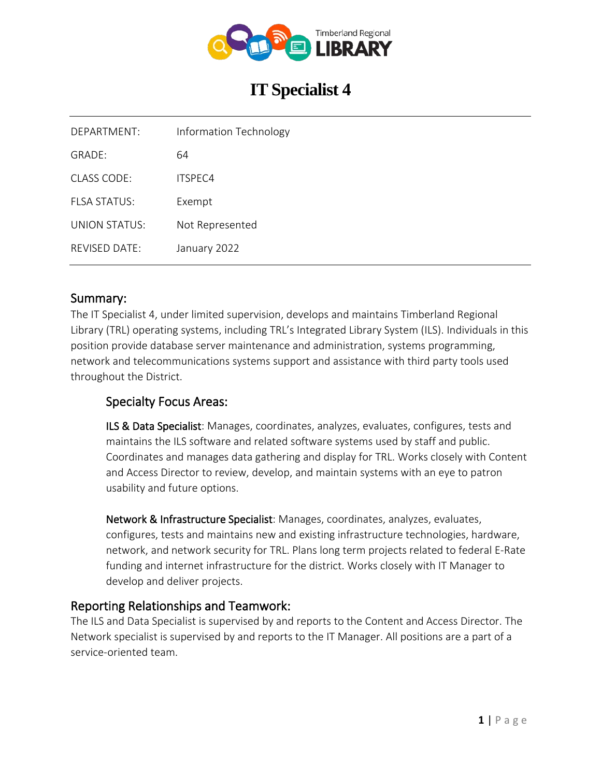

# **IT Specialist 4**

| DEPARTMENT:   | <b>Information Technology</b> |
|---------------|-------------------------------|
| GRADF:        | 64                            |
| CLASS CODE:   | ITSPFC4                       |
| FI SA STATUS: | Exempt                        |
| UNION STATUS: | Not Represented               |
| REVISED DATE: | January 2022                  |

### Summary:

The IT Specialist 4, under limited supervision, develops and maintains Timberland Regional Library (TRL) operating systems, including TRL's Integrated Library System (ILS). Individuals in this position provide database server maintenance and administration, systems programming, network and telecommunications systems support and assistance with third party tools used throughout the District.

# Specialty Focus Areas:

ILS & Data Specialist: Manages, coordinates, analyzes, evaluates, configures, tests and maintains the ILS software and related software systems used by staff and public. Coordinates and manages data gathering and display for TRL. Works closely with Content and Access Director to review, develop, and maintain systems with an eye to patron usability and future options.

Network & Infrastructure Specialist: Manages, coordinates, analyzes, evaluates, configures, tests and maintains new and existing infrastructure technologies, hardware, network, and network security for TRL. Plans long term projects related to federal E-Rate funding and internet infrastructure for the district. Works closely with IT Manager to develop and deliver projects.

### Reporting Relationships and Teamwork:

The ILS and Data Specialist is supervised by and reports to the Content and Access Director. The Network specialist is supervised by and reports to the IT Manager. All positions are a part of a service-oriented team.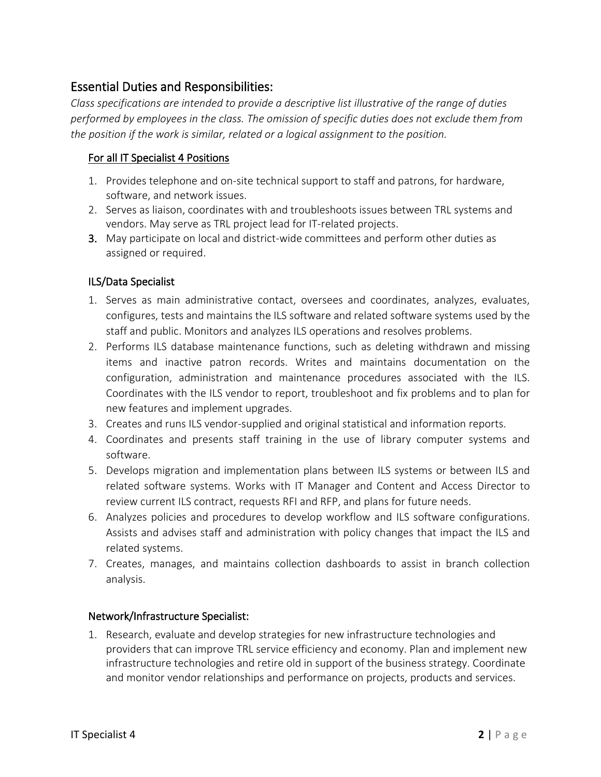# Essential Duties and Responsibilities:

*Class specifications are intended to provide a descriptive list illustrative of the range of duties performed by employees in the class. The omission of specific duties does not exclude them from the position if the work is similar, related or a logical assignment to the position.*

#### For all IT Specialist 4 Positions

- 1. Provides telephone and on-site technical support to staff and patrons, for hardware, software, and network issues.
- 2. Serves as liaison, coordinates with and troubleshoots issues between TRL systems and vendors. May serve as TRL project lead for IT-related projects.
- 3. May participate on local and district-wide committees and perform other duties as assigned or required.

#### ILS/Data Specialist

- 1. Serves as main administrative contact, oversees and coordinates, analyzes, evaluates, configures, tests and maintains the ILS software and related software systems used by the staff and public. Monitors and analyzes ILS operations and resolves problems.
- 2. Performs ILS database maintenance functions, such as deleting withdrawn and missing items and inactive patron records. Writes and maintains documentation on the configuration, administration and maintenance procedures associated with the ILS. Coordinates with the ILS vendor to report, troubleshoot and fix problems and to plan for new features and implement upgrades.
- 3. Creates and runs ILS vendor-supplied and original statistical and information reports.
- 4. Coordinates and presents staff training in the use of library computer systems and software.
- 5. Develops migration and implementation plans between ILS systems or between ILS and related software systems. Works with IT Manager and Content and Access Director to review current ILS contract, requests RFI and RFP, and plans for future needs.
- 6. Analyzes policies and procedures to develop workflow and ILS software configurations. Assists and advises staff and administration with policy changes that impact the ILS and related systems.
- 7. Creates, manages, and maintains collection dashboards to assist in branch collection analysis.

#### Network/Infrastructure Specialist:

1. Research, evaluate and develop strategies for new infrastructure technologies and providers that can improve TRL service efficiency and economy. Plan and implement new infrastructure technologies and retire old in support of the business strategy. Coordinate and monitor vendor relationships and performance on projects, products and services.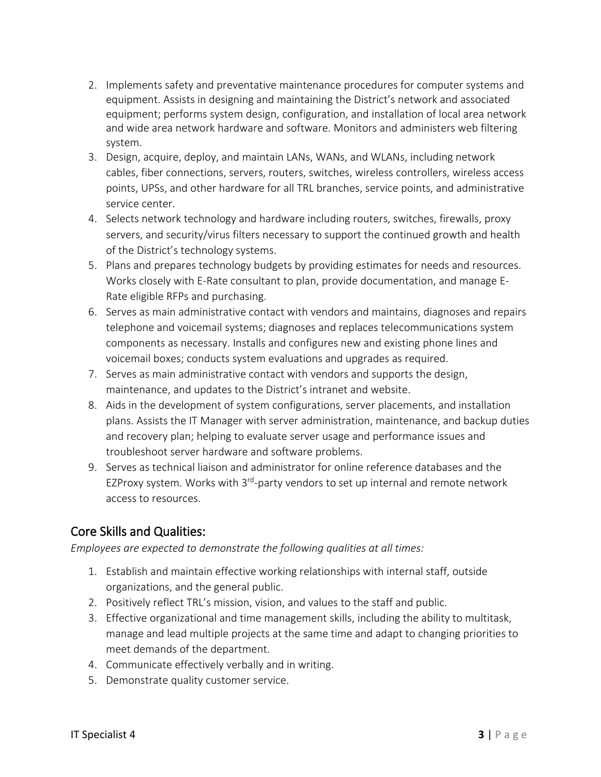- 2. Implements safety and preventative maintenance procedures for computer systems and equipment. Assists in designing and maintaining the District's network and associated equipment; performs system design, configuration, and installation of local area network and wide area network hardware and software. Monitors and administers web filtering system.
- 3. Design, acquire, deploy, and maintain LANs, WANs, and WLANs, including network cables, fiber connections, servers, routers, switches, wireless controllers, wireless access points, UPSs, and other hardware for all TRL branches, service points, and administrative service center.
- 4. Selects network technology and hardware including routers, switches, firewalls, proxy servers, and security/virus filters necessary to support the continued growth and health of the District's technology systems.
- 5. Plans and prepares technology budgets by providing estimates for needs and resources. Works closely with E-Rate consultant to plan, provide documentation, and manage E-Rate eligible RFPs and purchasing.
- 6. Serves as main administrative contact with vendors and maintains, diagnoses and repairs telephone and voicemail systems; diagnoses and replaces telecommunications system components as necessary. Installs and configures new and existing phone lines and voicemail boxes; conducts system evaluations and upgrades as required.
- 7. Serves as main administrative contact with vendors and supports the design, maintenance, and updates to the District's intranet and website.
- 8. Aids in the development of system configurations, server placements, and installation plans. Assists the IT Manager with server administration, maintenance, and backup duties and recovery plan; helping to evaluate server usage and performance issues and troubleshoot server hardware and software problems.
- 9. Serves as technical liaison and administrator for online reference databases and the EZProxy system. Works with 3<sup>rd</sup>-party vendors to set up internal and remote network access to resources.

# Core Skills and Qualities:

*Employees are expected to demonstrate the following qualities at all times:*

- 1. Establish and maintain effective working relationships with internal staff, outside organizations, and the general public.
- 2. Positively reflect TRL's mission, vision, and values to the staff and public.
- 3. Effective organizational and time management skills, including the ability to multitask, manage and lead multiple projects at the same time and adapt to changing priorities to meet demands of the department.
- 4. Communicate effectively verbally and in writing.
- 5. Demonstrate quality customer service.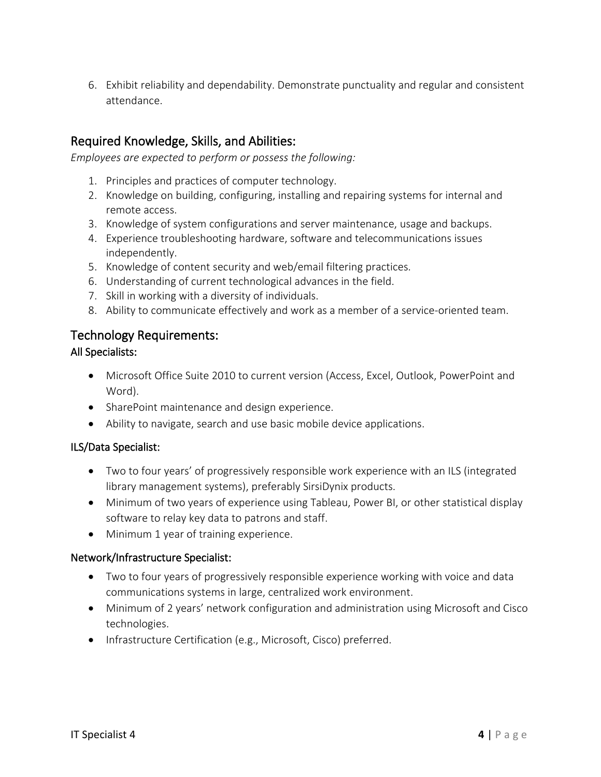6. Exhibit reliability and dependability. Demonstrate punctuality and regular and consistent attendance.

# Required Knowledge, Skills, and Abilities:

*Employees are expected to perform or possess the following:*

- 1. Principles and practices of computer technology.
- 2. Knowledge on building, configuring, installing and repairing systems for internal and remote access.
- 3. Knowledge of system configurations and server maintenance, usage and backups.
- 4. Experience troubleshooting hardware, software and telecommunications issues independently.
- 5. Knowledge of content security and web/email filtering practices.
- 6. Understanding of current technological advances in the field.
- 7. Skill in working with a diversity of individuals.
- 8. Ability to communicate effectively and work as a member of a service-oriented team.

### Technology Requirements:

#### All Specialists:

- Microsoft Office Suite 2010 to current version (Access, Excel, Outlook, PowerPoint and Word).
- SharePoint maintenance and design experience.
- Ability to navigate, search and use basic mobile device applications.

#### ILS/Data Specialist:

- Two to four years' of progressively responsible work experience with an ILS (integrated library management systems), preferably SirsiDynix products.
- Minimum of two years of experience using Tableau, Power BI, or other statistical display software to relay key data to patrons and staff.
- Minimum 1 year of training experience.

#### Network/Infrastructure Specialist:

- Two to four years of progressively responsible experience working with voice and data communications systems in large, centralized work environment.
- Minimum of 2 years' network configuration and administration using Microsoft and Cisco technologies.
- Infrastructure Certification (e.g., Microsoft, Cisco) preferred.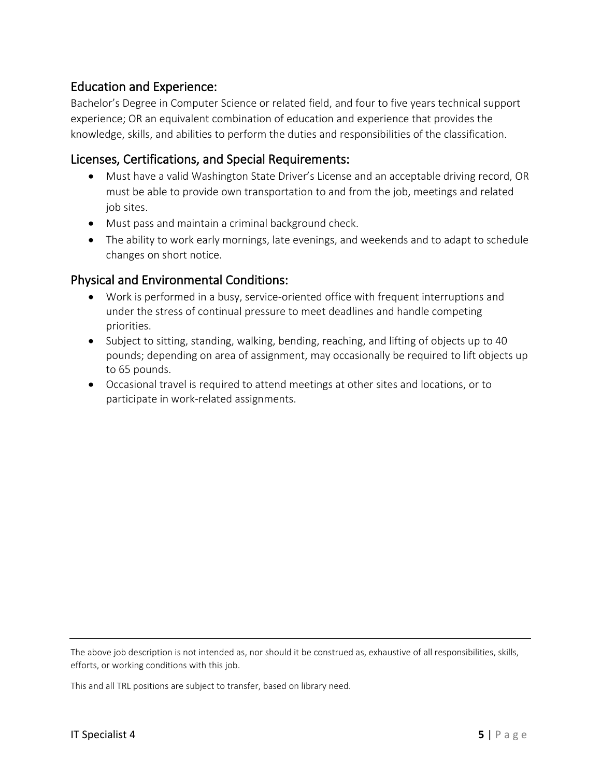### Education and Experience:

Bachelor's Degree in Computer Science or related field, and four to five years technical support experience; OR an equivalent combination of education and experience that provides the knowledge, skills, and abilities to perform the duties and responsibilities of the classification.

### Licenses, Certifications, and Special Requirements:

- Must have a valid Washington State Driver's License and an acceptable driving record, OR must be able to provide own transportation to and from the job, meetings and related job sites.
- Must pass and maintain a criminal background check.
- The ability to work early mornings, late evenings, and weekends and to adapt to schedule changes on short notice.

# Physical and Environmental Conditions:

- Work is performed in a busy, service-oriented office with frequent interruptions and under the stress of continual pressure to meet deadlines and handle competing priorities.
- Subject to sitting, standing, walking, bending, reaching, and lifting of objects up to 40 pounds; depending on area of assignment, may occasionally be required to lift objects up to 65 pounds.
- Occasional travel is required to attend meetings at other sites and locations, or to participate in work-related assignments.

The above job description is not intended as, nor should it be construed as, exhaustive of all responsibilities, skills, efforts, or working conditions with this job.

This and all TRL positions are subject to transfer, based on library need.